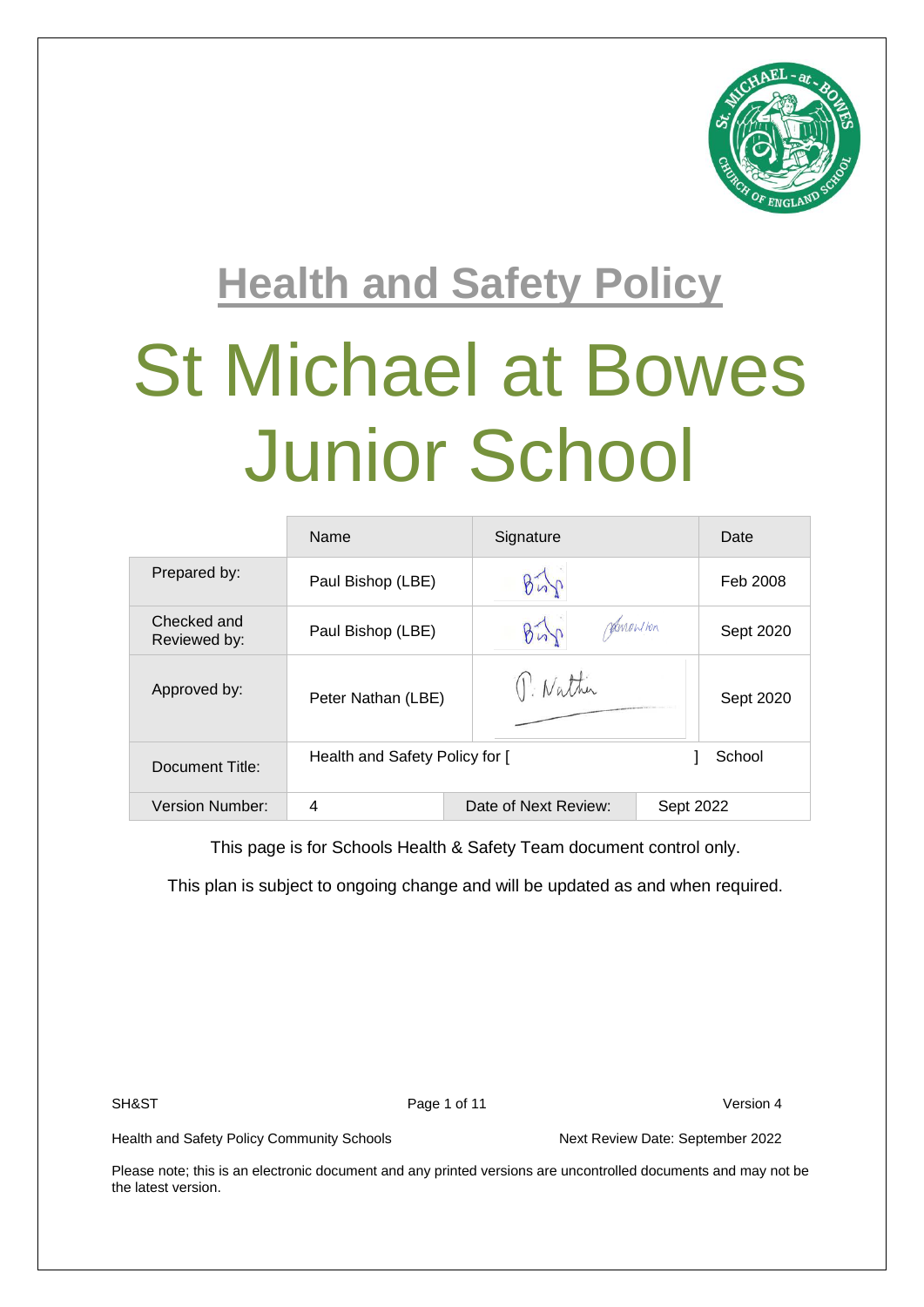

# **Health and Safety Policy** St Michael at Bowes Junior School

|                             | Name                           | Signature            | Date      |
|-----------------------------|--------------------------------|----------------------|-----------|
| Prepared by:                | Paul Bishop (LBE)              |                      | Feb 2008  |
| Checked and<br>Reviewed by: | Paul Bishop (LBE)              | <i>Parnow Hon</i>    | Sept 2020 |
| Approved by:                | Peter Nathan (LBE)             | U. Nather            | Sept 2020 |
| Document Title:             | Health and Safety Policy for [ |                      | School    |
| <b>Version Number:</b>      | 4                              | Date of Next Review: | Sept 2022 |

This page is for Schools Health & Safety Team document control only.

This plan is subject to ongoing change and will be updated as and when required.

SH&ST Page 1 of 11 Version 4

Health and Safety Policy Community Schools Next Review Date: September 2022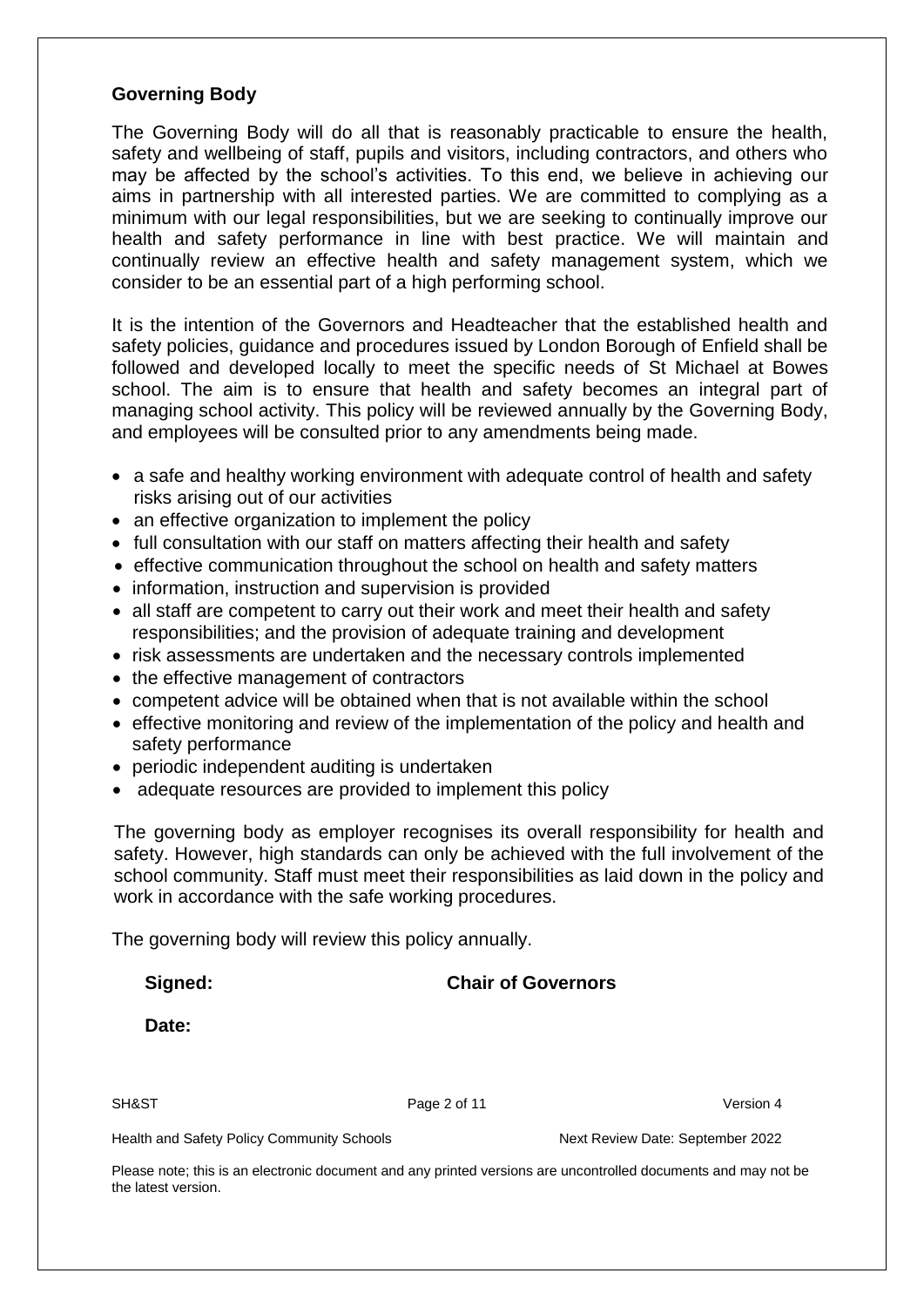#### **Governing Body**

The Governing Body will do all that is reasonably practicable to ensure the health, safety and wellbeing of staff, pupils and visitors, including contractors, and others who may be affected by the school's activities. To this end, we believe in achieving our aims in partnership with all interested parties. We are committed to complying as a minimum with our legal responsibilities, but we are seeking to continually improve our health and safety performance in line with best practice. We will maintain and continually review an effective health and safety management system, which we consider to be an essential part of a high performing school.

It is the intention of the Governors and Headteacher that the established health and safety policies, guidance and procedures issued by London Borough of Enfield shall be followed and developed locally to meet the specific needs of St Michael at Bowes school. The aim is to ensure that health and safety becomes an integral part of managing school activity. This policy will be reviewed annually by the Governing Body, and employees will be consulted prior to any amendments being made.

- a safe and healthy working environment with adequate control of health and safety risks arising out of our activities
- an effective organization to implement the policy
- full consultation with our staff on matters affecting their health and safety
- effective communication throughout the school on health and safety matters
- information, instruction and supervision is provided
- all staff are competent to carry out their work and meet their health and safety responsibilities; and the provision of adequate training and development
- risk assessments are undertaken and the necessary controls implemented
- the effective management of contractors
- competent advice will be obtained when that is not available within the school
- effective monitoring and review of the implementation of the policy and health and safety performance
- periodic independent auditing is undertaken
- adequate resources are provided to implement this policy

The governing body as employer recognises its overall responsibility for health and safety. However, high standards can only be achieved with the full involvement of the school community. Staff must meet their responsibilities as laid down in the policy and work in accordance with the safe working procedures.

The governing body will review this policy annually.

**Signed: Chair of Governors**

**Date:**

SH&ST Page 2 of 11 Version 4

Health and Safety Policy Community Schools Next Review Date: September 2022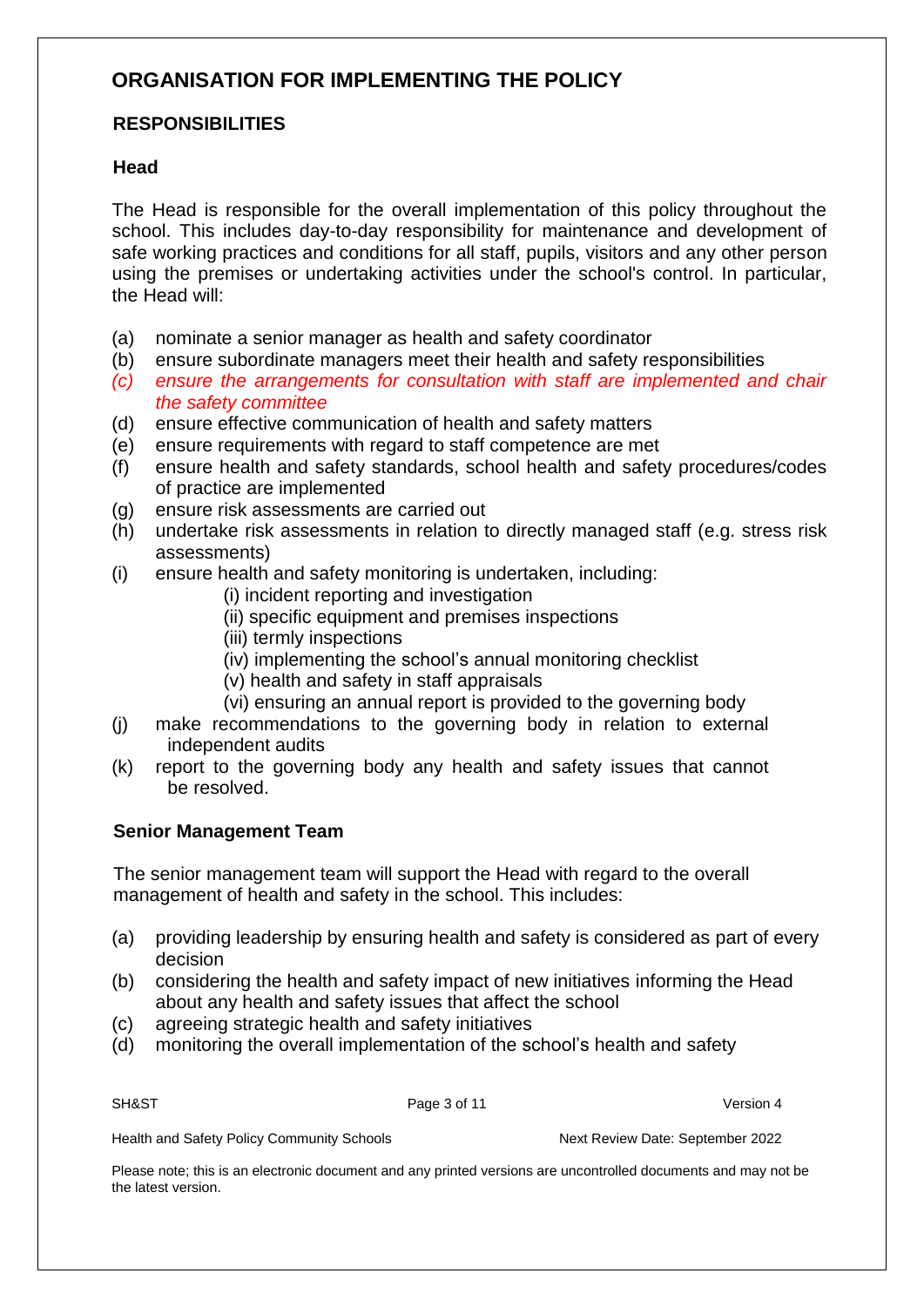## **ORGANISATION FOR IMPLEMENTING THE POLICY**

#### **RESPONSIBILITIES**

#### **Head**

The Head is responsible for the overall implementation of this policy throughout the school. This includes day-to-day responsibility for maintenance and development of safe working practices and conditions for all staff, pupils, visitors and any other person using the premises or undertaking activities under the school's control. In particular, the Head will:

- (a) nominate a senior manager as health and safety coordinator
- (b) ensure subordinate managers meet their health and safety responsibilities
- *(c) ensure the arrangements for consultation with staff are implemented and chair the safety committee*
- (d) ensure effective communication of health and safety matters
- (e) ensure requirements with regard to staff competence are met
- (f) ensure health and safety standards, school health and safety procedures/codes of practice are implemented
- (g) ensure risk assessments are carried out
- (h) undertake risk assessments in relation to directly managed staff (e.g. stress risk assessments)
- (i) ensure health and safety monitoring is undertaken, including:
	- (i) incident reporting and investigation
	- (ii) specific equipment and premises inspections
	- (iii) termly inspections
	- (iv) implementing the school's annual monitoring checklist
	- (v) health and safety in staff appraisals
	- (vi) ensuring an annual report is provided to the governing body
- (j) make recommendations to the governing body in relation to external independent audits
- (k) report to the governing body any health and safety issues that cannot be resolved.

#### **Senior Management Team**

The senior management team will support the Head with regard to the overall management of health and safety in the school. This includes:

- (a) providing leadership by ensuring health and safety is considered as part of every decision
- (b) considering the health and safety impact of new initiatives informing the Head about any health and safety issues that affect the school
- (c) agreeing strategic health and safety initiatives
- (d) monitoring the overall implementation of the school's health and safety

SH&ST Page 3 of 11 Version 4

Health and Safety Policy Community Schools Next Review Date: September 2022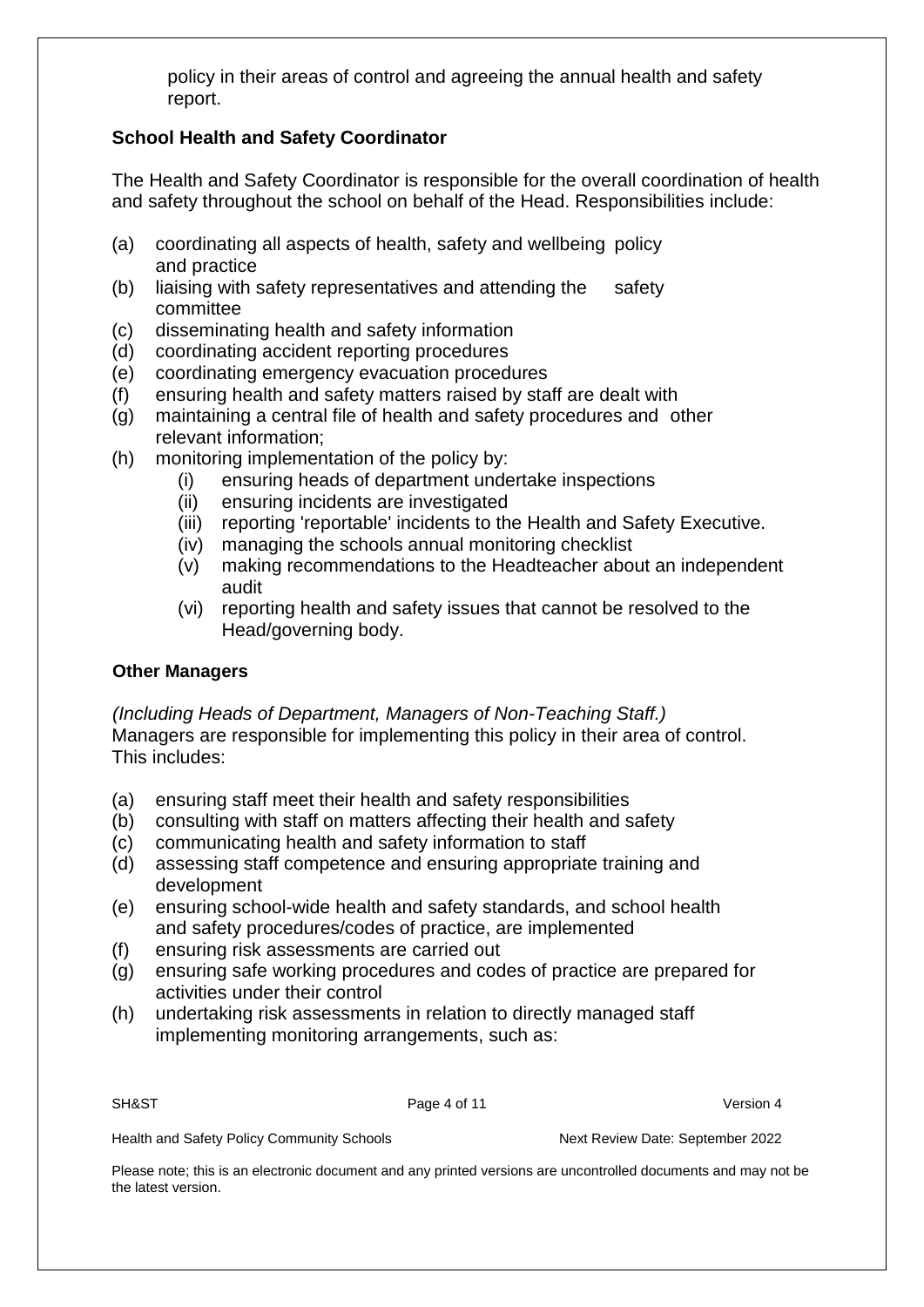policy in their areas of control and agreeing the annual health and safety report.

#### **School Health and Safety Coordinator**

The Health and Safety Coordinator is responsible for the overall coordination of health and safety throughout the school on behalf of the Head. Responsibilities include:

- (a) coordinating all aspects of health, safety and wellbeing policy and practice
- (b) liaising with safety representatives and attending the safety committee
- (c) disseminating health and safety information
- (d) coordinating accident reporting procedures
- (e) coordinating emergency evacuation procedures
- (f) ensuring health and safety matters raised by staff are dealt with
- (g) maintaining a central file of health and safety procedures and other relevant information;
- (h) monitoring implementation of the policy by:
	- (i) ensuring heads of department undertake inspections
	- (ii) ensuring incidents are investigated
	- (iii) reporting 'reportable' incidents to the Health and Safety Executive.
	- (iv) managing the schools annual monitoring checklist
	- (v) making recommendations to the Headteacher about an independent audit
	- (vi) reporting health and safety issues that cannot be resolved to the Head/governing body.

#### **Other Managers**

*(Including Heads of Department, Managers of Non-Teaching Staff.)*  Managers are responsible for implementing this policy in their area of control. This includes:

- (a) ensuring staff meet their health and safety responsibilities
- (b) consulting with staff on matters affecting their health and safety
- (c) communicating health and safety information to staff
- (d) assessing staff competence and ensuring appropriate training and development
- (e) ensuring school-wide health and safety standards, and school health and safety procedures/codes of practice, are implemented
- (f) ensuring risk assessments are carried out
- (g) ensuring safe working procedures and codes of practice are prepared for activities under their control
- (h) undertaking risk assessments in relation to directly managed staff implementing monitoring arrangements, such as:

SH&ST Page 4 of 11 Version 4

Health and Safety Policy Community Schools Next Review Date: September 2022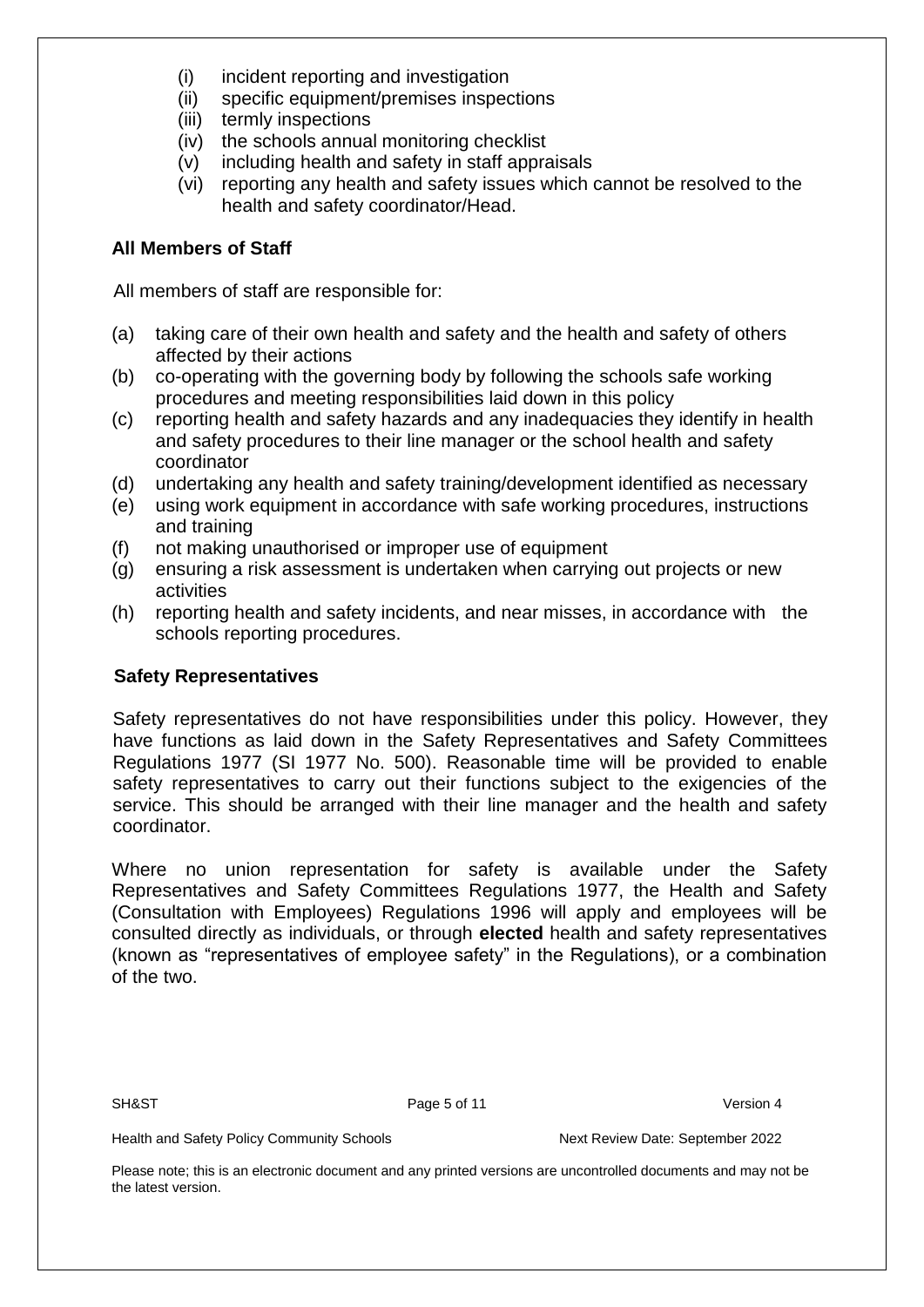- (i) incident reporting and investigation
- (ii) specific equipment/premises inspections
- (iii) termly inspections
- (iv) the schools annual monitoring checklist
- (v) including health and safety in staff appraisals
- (vi) reporting any health and safety issues which cannot be resolved to the health and safety coordinator/Head.

#### **All Members of Staff**

All members of staff are responsible for:

- (a) taking care of their own health and safety and the health and safety of others affected by their actions
- (b) co-operating with the governing body by following the schools safe working procedures and meeting responsibilities laid down in this policy
- (c) reporting health and safety hazards and any inadequacies they identify in health and safety procedures to their line manager or the school health and safety coordinator
- (d) undertaking any health and safety training/development identified as necessary
- (e) using work equipment in accordance with safe working procedures, instructions and training
- (f) not making unauthorised or improper use of equipment
- (g) ensuring a risk assessment is undertaken when carrying out projects or new activities
- (h) reporting health and safety incidents, and near misses, in accordance with the schools reporting procedures.

#### **Safety Representatives**

Safety representatives do not have responsibilities under this policy. However, they have functions as laid down in the Safety Representatives and Safety Committees Regulations 1977 (SI 1977 No. 500). Reasonable time will be provided to enable safety representatives to carry out their functions subject to the exigencies of the service. This should be arranged with their line manager and the health and safety coordinator.

Where no union representation for safety is available under the Safety Representatives and Safety Committees Regulations 1977, the Health and Safety (Consultation with Employees) Regulations 1996 will apply and employees will be consulted directly as individuals, or through **elected** health and safety representatives (known as "representatives of employee safety" in the Regulations), or a combination of the two.

SH&ST Page 5 of 11 Version 4

Health and Safety Policy Community Schools Next Review Date: September 2022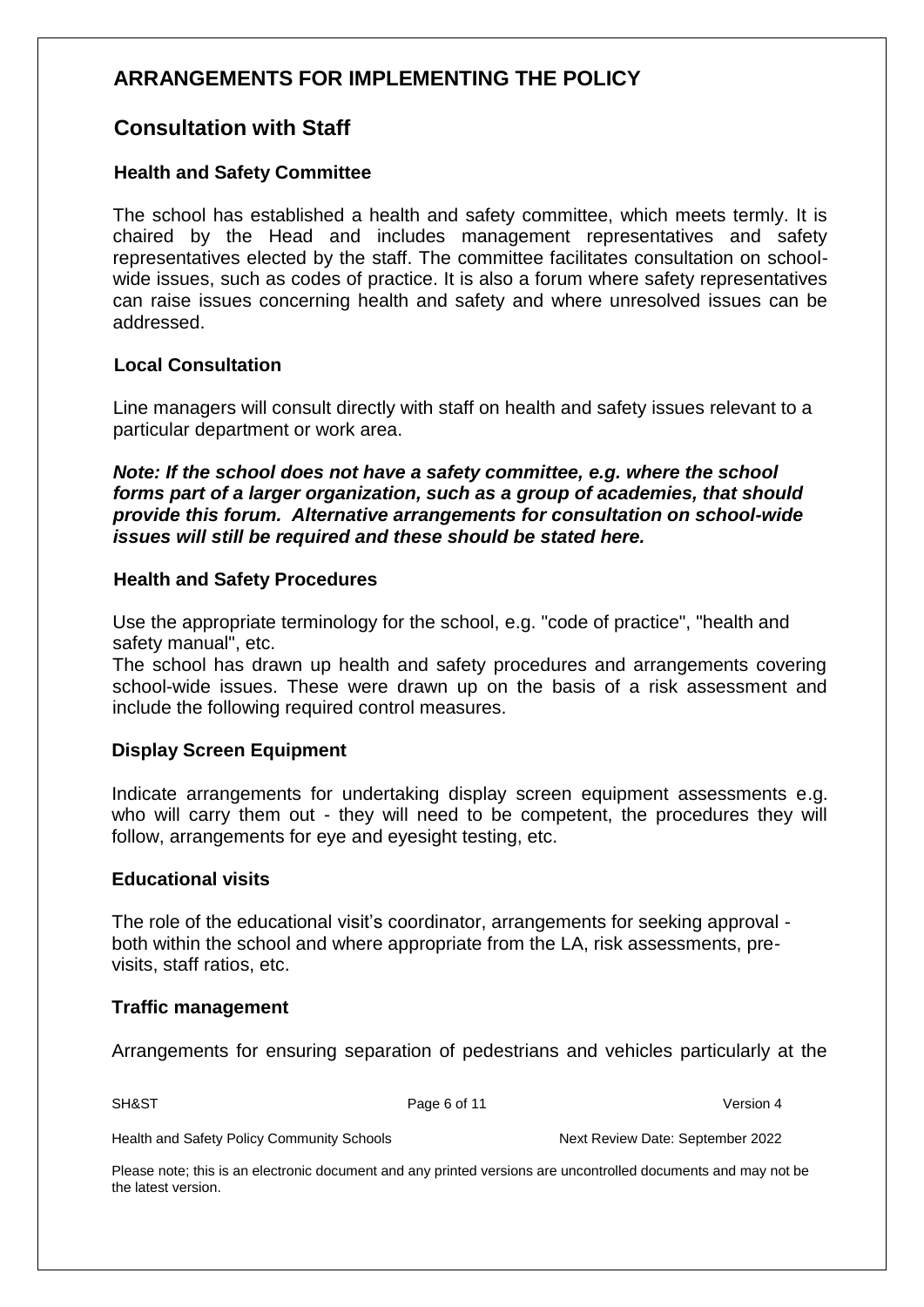## **ARRANGEMENTS FOR IMPLEMENTING THE POLICY**

### **Consultation with Staff**

#### **Health and Safety Committee**

The school has established a health and safety committee, which meets termly. It is chaired by the Head and includes management representatives and safety representatives elected by the staff. The committee facilitates consultation on schoolwide issues, such as codes of practice. It is also a forum where safety representatives can raise issues concerning health and safety and where unresolved issues can be addressed.

#### **Local Consultation**

Line managers will consult directly with staff on health and safety issues relevant to a particular department or work area.

*Note: If the school does not have a safety committee, e.g. where the school forms part of a larger organization, such as a group of academies, that should provide this forum. Alternative arrangements for consultation on school-wide issues will still be required and these should be stated here.* 

#### **Health and Safety Procedures**

Use the appropriate terminology for the school, e.g. "code of practice", "health and safety manual", etc.

The school has drawn up health and safety procedures and arrangements covering school-wide issues. These were drawn up on the basis of a risk assessment and include the following required control measures.

#### **Display Screen Equipment**

Indicate arrangements for undertaking display screen equipment assessments e.g. who will carry them out - they will need to be competent, the procedures they will follow, arrangements for eye and eyesight testing, etc.

#### **Educational visits**

The role of the educational visit's coordinator, arrangements for seeking approval both within the school and where appropriate from the LA, risk assessments, previsits, staff ratios, etc.

#### **Traffic management**

Arrangements for ensuring separation of pedestrians and vehicles particularly at the

SH&ST Page 6 of 11 Version 4

Health and Safety Policy Community Schools Next Review Date: September 2022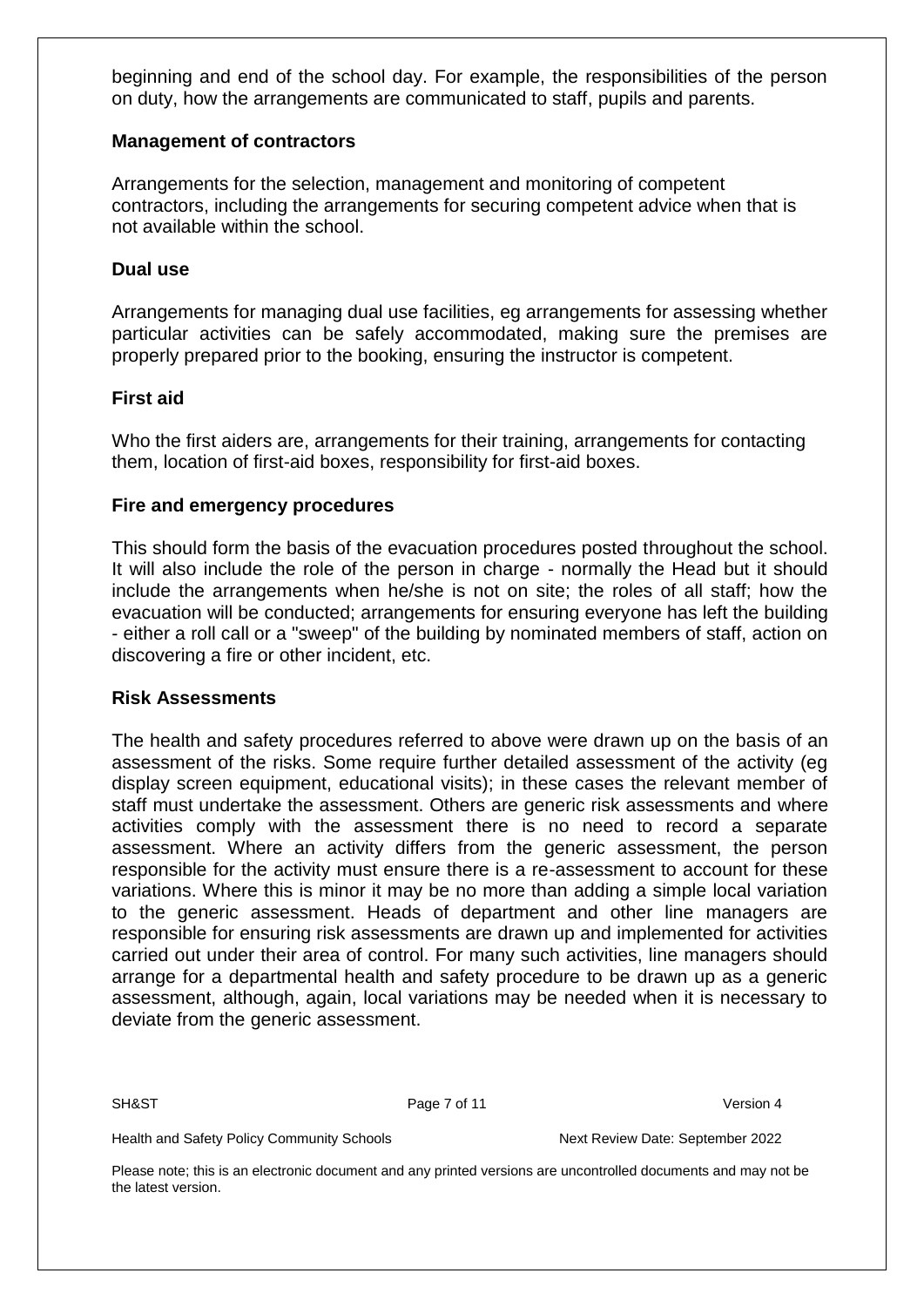beginning and end of the school day. For example, the responsibilities of the person on duty, how the arrangements are communicated to staff, pupils and parents.

#### **Management of contractors**

Arrangements for the selection, management and monitoring of competent contractors, including the arrangements for securing competent advice when that is not available within the school.

#### **Dual use**

Arrangements for managing dual use facilities, eg arrangements for assessing whether particular activities can be safely accommodated, making sure the premises are properly prepared prior to the booking, ensuring the instructor is competent.

#### **First aid**

Who the first aiders are, arrangements for their training, arrangements for contacting them, location of first-aid boxes, responsibility for first-aid boxes.

#### **Fire and emergency procedures**

This should form the basis of the evacuation procedures posted throughout the school. It will also include the role of the person in charge - normally the Head but it should include the arrangements when he/she is not on site; the roles of all staff; how the evacuation will be conducted; arrangements for ensuring everyone has left the building - either a roll call or a "sweep" of the building by nominated members of staff, action on discovering a fire or other incident, etc.

#### **Risk Assessments**

The health and safety procedures referred to above were drawn up on the basis of an assessment of the risks. Some require further detailed assessment of the activity (eg display screen equipment, educational visits); in these cases the relevant member of staff must undertake the assessment. Others are generic risk assessments and where activities comply with the assessment there is no need to record a separate assessment. Where an activity differs from the generic assessment, the person responsible for the activity must ensure there is a re-assessment to account for these variations. Where this is minor it may be no more than adding a simple local variation to the generic assessment. Heads of department and other line managers are responsible for ensuring risk assessments are drawn up and implemented for activities carried out under their area of control. For many such activities, line managers should arrange for a departmental health and safety procedure to be drawn up as a generic assessment, although, again, local variations may be needed when it is necessary to deviate from the generic assessment.

SH&ST Page 7 of 11 Version 4

Health and Safety Policy Community Schools Next Review Date: September 2022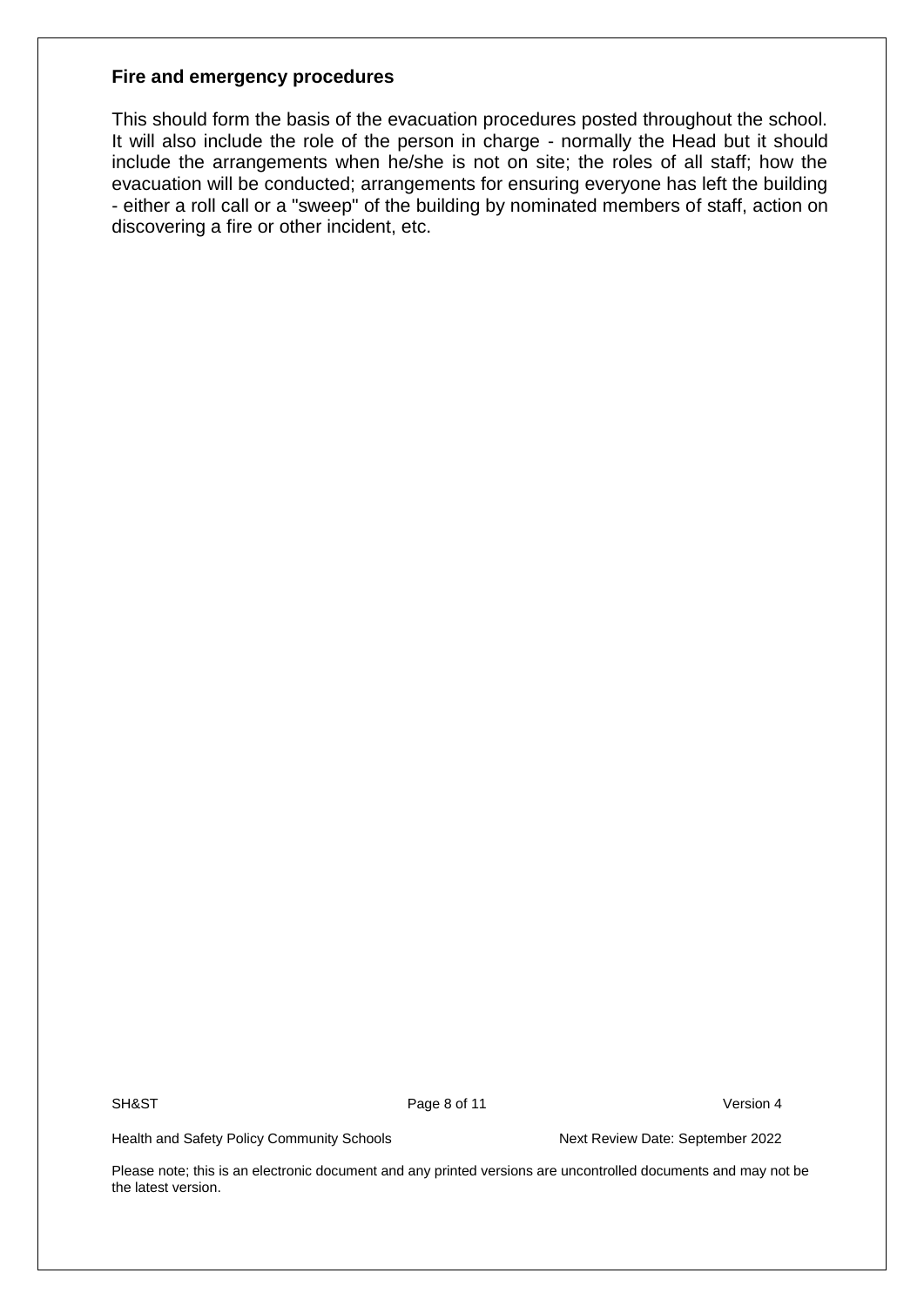#### **Fire and emergency procedures**

This should form the basis of the evacuation procedures posted throughout the school. It will also include the role of the person in charge - normally the Head but it should include the arrangements when he/she is not on site; the roles of all staff; how the evacuation will be conducted; arrangements for ensuring everyone has left the building - either a roll call or a "sweep" of the building by nominated members of staff, action on discovering a fire or other incident, etc.

SH&ST Page 8 of 11 Version 4

Health and Safety Policy Community Schools Next Review Date: September 2022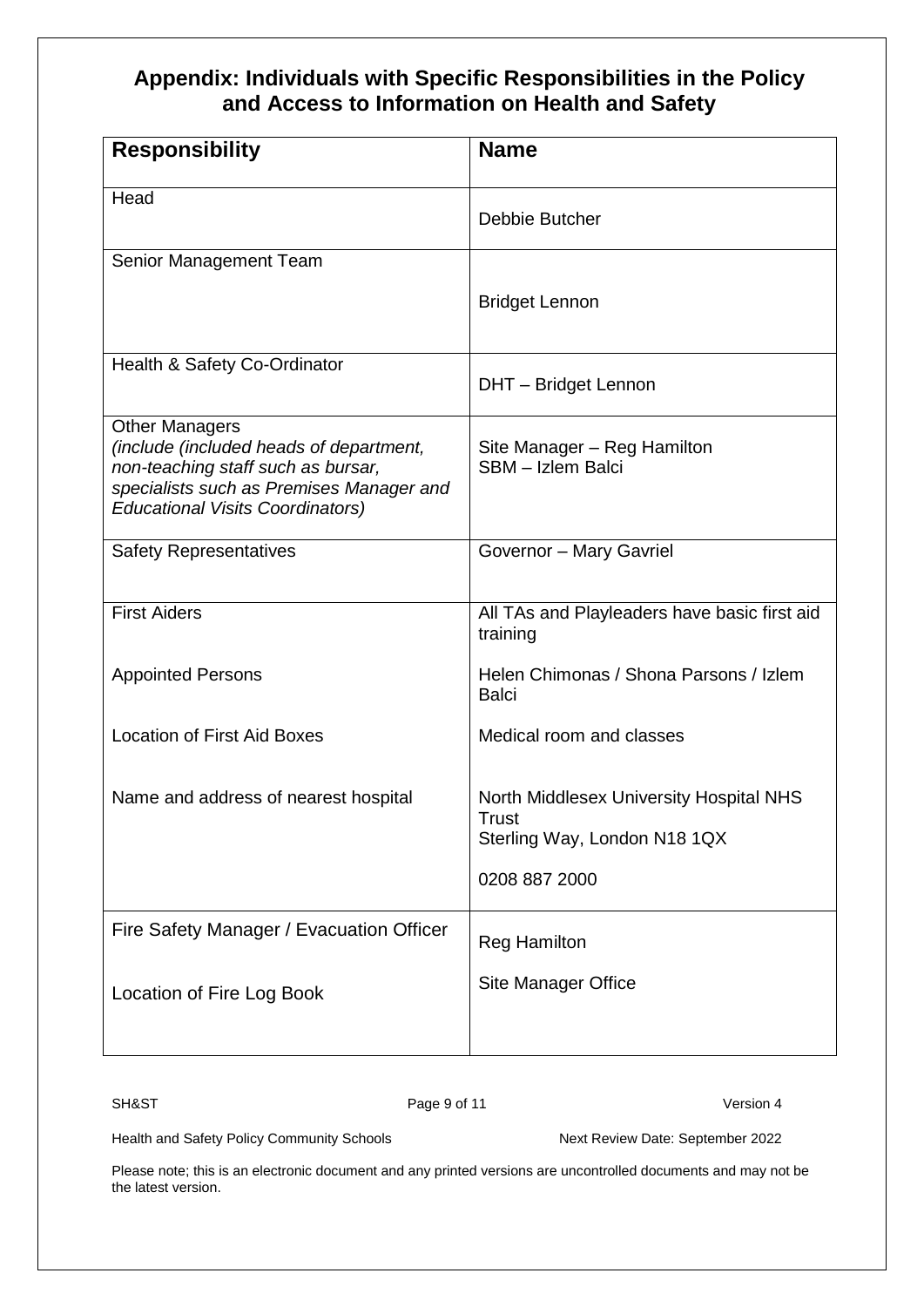## **Appendix: Individuals with Specific Responsibilities in the Policy and Access to Information on Health and Safety**

| <b>Responsibility</b>                                                                                                                                                                         | <b>Name</b>                                                                                                     |
|-----------------------------------------------------------------------------------------------------------------------------------------------------------------------------------------------|-----------------------------------------------------------------------------------------------------------------|
| Head                                                                                                                                                                                          | Debbie Butcher                                                                                                  |
| Senior Management Team                                                                                                                                                                        | <b>Bridget Lennon</b>                                                                                           |
| Health & Safety Co-Ordinator                                                                                                                                                                  | DHT - Bridget Lennon                                                                                            |
| <b>Other Managers</b><br>(include (included heads of department,<br>non-teaching staff such as bursar,<br>specialists such as Premises Manager and<br><b>Educational Visits Coordinators)</b> | Site Manager - Reg Hamilton<br>SBM - Izlem Balci                                                                |
| <b>Safety Representatives</b>                                                                                                                                                                 | Governor - Mary Gavriel                                                                                         |
| <b>First Aiders</b>                                                                                                                                                                           | All TAs and Playleaders have basic first aid<br>training                                                        |
| <b>Appointed Persons</b>                                                                                                                                                                      | Helen Chimonas / Shona Parsons / Izlem<br><b>Balci</b>                                                          |
| <b>Location of First Aid Boxes</b>                                                                                                                                                            | Medical room and classes                                                                                        |
| Name and address of nearest hospital                                                                                                                                                          | <b>North Middlesex University Hospital NHS</b><br><b>Trust</b><br>Sterling Way, London N18 1QX<br>0208 887 2000 |
| Fire Safety Manager / Evacuation Officer                                                                                                                                                      | <b>Reg Hamilton</b>                                                                                             |
| Location of Fire Log Book                                                                                                                                                                     | <b>Site Manager Office</b>                                                                                      |

SH&ST Page 9 of 11 Version 4

Health and Safety Policy Community Schools Next Review Date: September 2022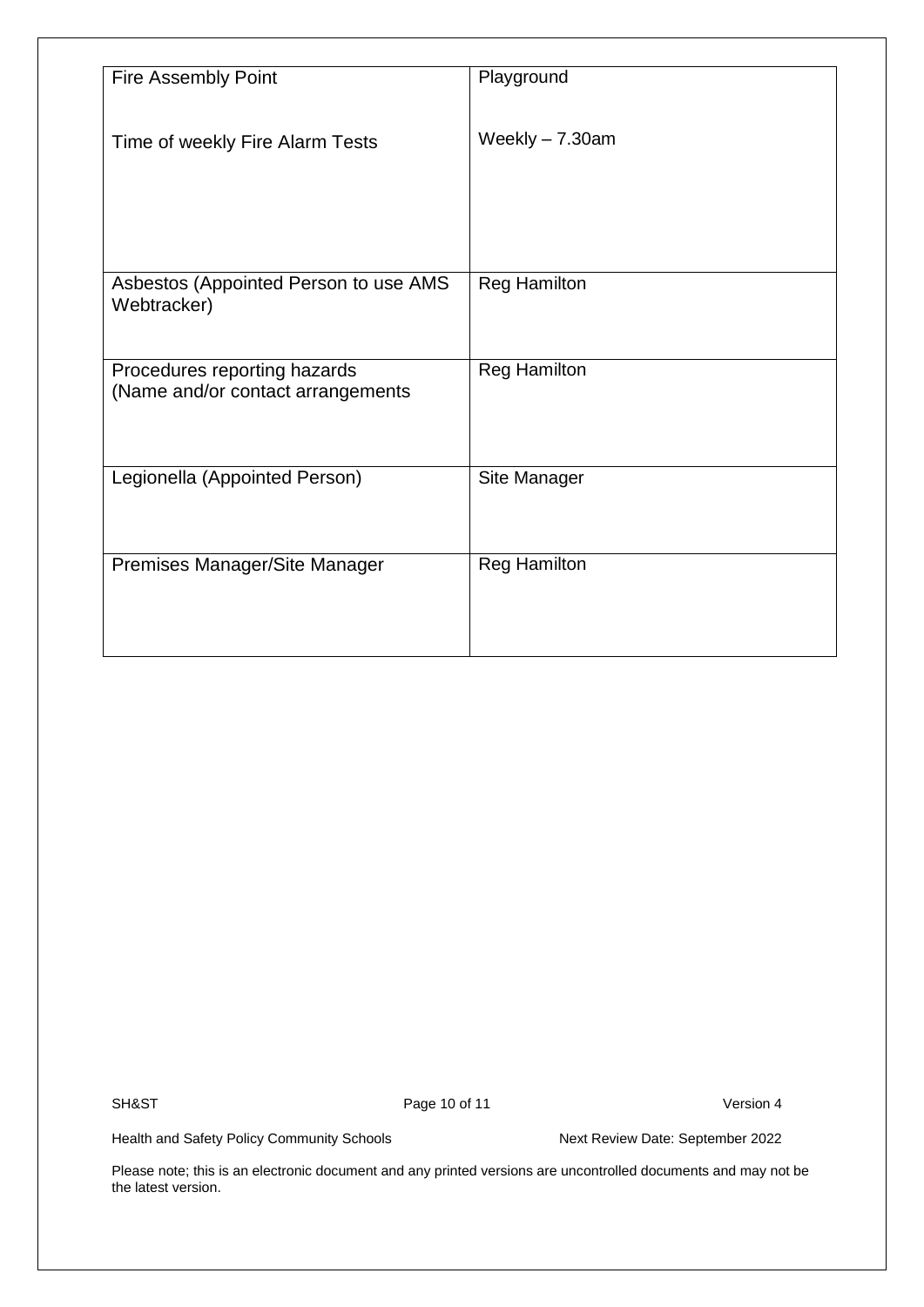| <b>Fire Assembly Point</b>            | Playground          |
|---------------------------------------|---------------------|
|                                       |                     |
|                                       |                     |
| Time of weekly Fire Alarm Tests       | Weekly - 7.30am     |
|                                       |                     |
|                                       |                     |
|                                       |                     |
|                                       |                     |
|                                       |                     |
|                                       |                     |
| Asbestos (Appointed Person to use AMS | <b>Reg Hamilton</b> |
| Webtracker)                           |                     |
|                                       |                     |
|                                       |                     |
| Procedures reporting hazards          | <b>Reg Hamilton</b> |
| (Name and/or contact arrangements     |                     |
|                                       |                     |
|                                       |                     |
|                                       |                     |
| Legionella (Appointed Person)         | Site Manager        |
|                                       |                     |
|                                       |                     |
|                                       |                     |
|                                       |                     |
| Premises Manager/Site Manager         | <b>Reg Hamilton</b> |
|                                       |                     |
|                                       |                     |
|                                       |                     |
|                                       |                     |

SH&ST Page 10 of 11 Version 4

Health and Safety Policy Community Schools Next Review Date: September 2022